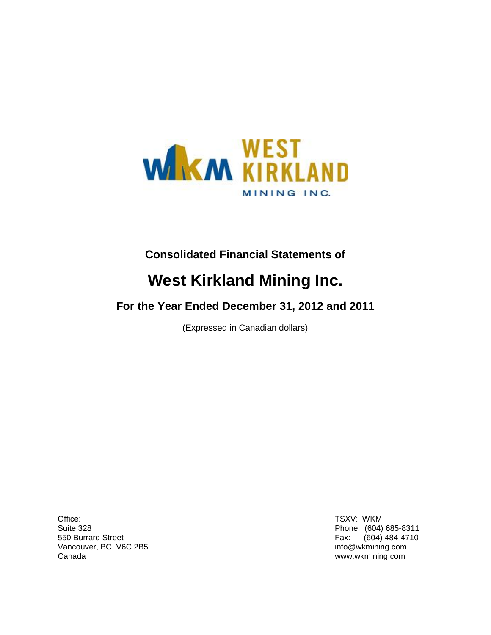

**Consolidated Financial Statements of**

# **West Kirkland Mining Inc.**

**For the Year Ended December 31, 2012 and 2011**

(Expressed in Canadian dollars)

Office: TSXV: WKM<br>
Suite 328 Phone: (604) Suite 328<br>
550 Burrard Street<br>
560 Burrard Street<br>
560 Burrard Street<br>
560 Burrard Street Vancouver, BC V6C 2B5<br>Canada

Fax: (604) 484-4710<br>info@wkmining.com www.wkmining.com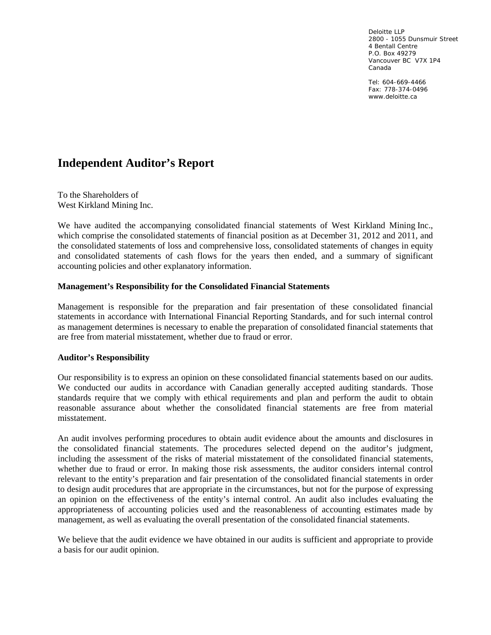Deloitte LLP 2800 - 1055 Dunsmuir Street 4 Bentall Centre P.O. Box 49279 Vancouver BC V7X 1P4 Canada

Tel: 604-669-4466 Fax: 778-374-0496 www.deloitte.ca

# **Independent Auditor's Report**

To the Shareholders of West Kirkland Mining Inc.

We have audited the accompanying consolidated financial statements of West Kirkland Mining Inc., which comprise the consolidated statements of financial position as at December 31, 2012 and 2011, and the consolidated statements of loss and comprehensive loss, consolidated statements of changes in equity and consolidated statements of cash flows for the years then ended, and a summary of significant accounting policies and other explanatory information.

## **Management's Responsibility for the Consolidated Financial Statements**

Management is responsible for the preparation and fair presentation of these consolidated financial statements in accordance with International Financial Reporting Standards, and for such internal control as management determines is necessary to enable the preparation of consolidated financial statements that are free from material misstatement, whether due to fraud or error.

### **Auditor's Responsibility**

Our responsibility is to express an opinion on these consolidated financial statements based on our audits. We conducted our audits in accordance with Canadian generally accepted auditing standards. Those standards require that we comply with ethical requirements and plan and perform the audit to obtain reasonable assurance about whether the consolidated financial statements are free from material misstatement.

An audit involves performing procedures to obtain audit evidence about the amounts and disclosures in the consolidated financial statements. The procedures selected depend on the auditor's judgment, including the assessment of the risks of material misstatement of the consolidated financial statements, whether due to fraud or error. In making those risk assessments, the auditor considers internal control relevant to the entity's preparation and fair presentation of the consolidated financial statements in order to design audit procedures that are appropriate in the circumstances, but not for the purpose of expressing an opinion on the effectiveness of the entity's internal control. An audit also includes evaluating the appropriateness of accounting policies used and the reasonableness of accounting estimates made by management, as well as evaluating the overall presentation of the consolidated financial statements.

We believe that the audit evidence we have obtained in our audits is sufficient and appropriate to provide a basis for our audit opinion.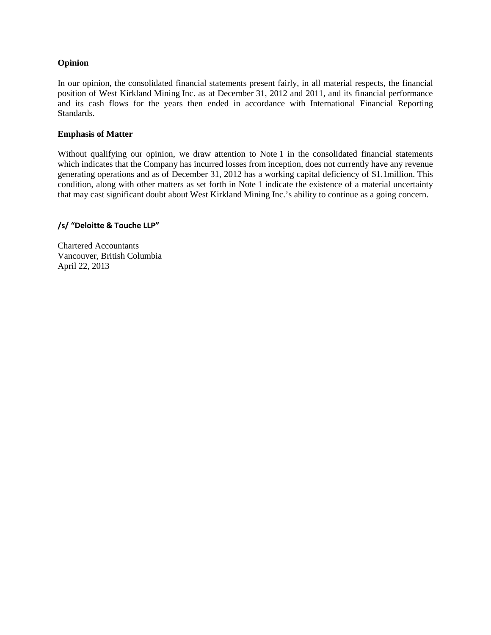### **Opinion**

In our opinion, the consolidated financial statements present fairly, in all material respects, the financial position of West Kirkland Mining Inc. as at December 31, 2012 and 2011, and its financial performance and its cash flows for the years then ended in accordance with International Financial Reporting Standards.

### **Emphasis of Matter**

Without qualifying our opinion, we draw attention to Note 1 in the consolidated financial statements which indicates that the Company has incurred losses from inception, does not currently have any revenue generating operations and as of December 31, 2012 has a working capital deficiency of \$1.1million. This condition, along with other matters as set forth in Note 1 indicate the existence of a material uncertainty that may cast significant doubt about West Kirkland Mining Inc.'s ability to continue as a going concern.

## **/s/ "Deloitte & Touche LLP"**

Chartered Accountants Vancouver, British Columbia April 22, 2013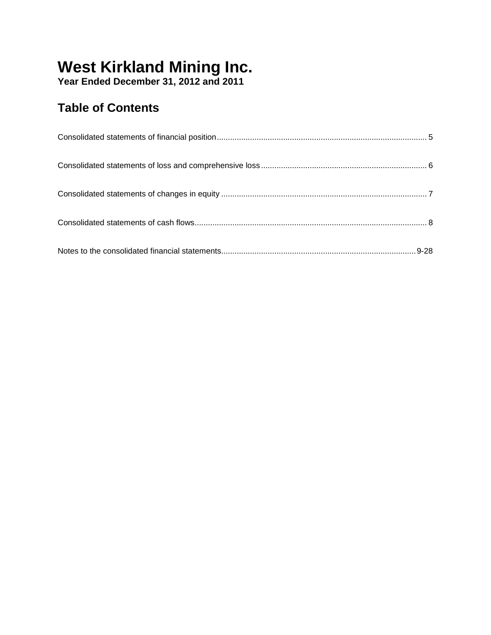# **West Kirkland Mining Inc.**

**Year Ended December 31, 2012 and 2011**

# **Table of Contents**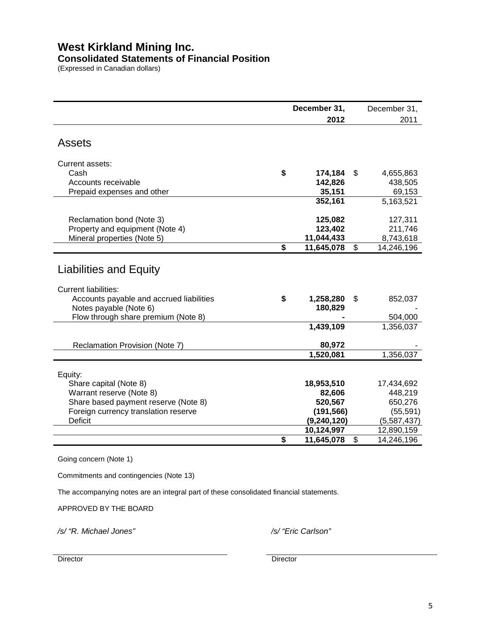# **West Kirkland Mining Inc.**

# **Consolidated Statements of Financial Position**

(Expressed in Canadian dollars)

|                                                                                                                                                                           |                         | December 31,                                                   | December 31,                                                 |
|---------------------------------------------------------------------------------------------------------------------------------------------------------------------------|-------------------------|----------------------------------------------------------------|--------------------------------------------------------------|
|                                                                                                                                                                           |                         | 2012                                                           | 2011                                                         |
| <b>Assets</b>                                                                                                                                                             |                         |                                                                |                                                              |
| Current assets:<br>Cash<br>Accounts receivable<br>Prepaid expenses and other                                                                                              | \$                      | 174,184<br>142,826<br>35,151                                   | \$<br>4,655,863<br>438,505<br>69,153                         |
|                                                                                                                                                                           |                         | 352,161                                                        | 5,163,521                                                    |
| Reclamation bond (Note 3)<br>Property and equipment (Note 4)<br>Mineral properties (Note 5)                                                                               |                         | 125,082<br>123,402<br>11,044,433                               | 127,311<br>211,746<br>8,743,618                              |
|                                                                                                                                                                           | $\overline{\mathbf{s}}$ | 11,645,078                                                     | \$<br>14,246,196                                             |
| <b>Liabilities and Equity</b><br><b>Current liabilities:</b><br>Accounts payable and accrued liabilities<br>Notes payable (Note 6)<br>Flow through share premium (Note 8) | \$                      | 1,258,280<br>180,829                                           | \$<br>852,037<br>504,000                                     |
|                                                                                                                                                                           |                         | 1,439,109                                                      | 1,356,037                                                    |
| Reclamation Provision (Note 7)                                                                                                                                            |                         | 80,972<br>1,520,081                                            | 1,356,037                                                    |
| Equity:<br>Share capital (Note 8)<br>Warrant reserve (Note 8)<br>Share based payment reserve (Note 8)<br>Foreign currency translation reserve<br><b>Deficit</b>           |                         | 18,953,510<br>82,606<br>520,567<br>(191, 566)<br>(9, 240, 120) | 17,434,692<br>448,219<br>650,276<br>(55, 591)<br>(5,587,437) |
|                                                                                                                                                                           | \$                      | 10,124,997<br>11,645,078                                       | 12,890,159<br>\$<br>14,246,196                               |

Going concern (Note 1)

Commitments and contingencies (Note 13)

The accompanying notes are an integral part of these consolidated financial statements.

APPROVED BY THE BOARD

*/s/ "R. Michael Jones" /s/ "Eric Carlson"*

Director **Director** Director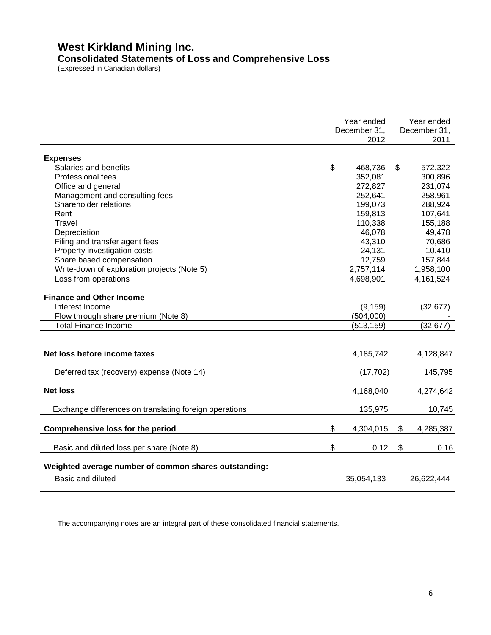# **West Kirkland Mining Inc. Consolidated Statements of Loss and Comprehensive Loss**

(Expressed in Canadian dollars)

|                                                        | Year ended      | Year ended      |
|--------------------------------------------------------|-----------------|-----------------|
|                                                        | December 31,    | December 31,    |
|                                                        | 2012            | 2011            |
|                                                        |                 |                 |
| <b>Expenses</b>                                        |                 |                 |
| Salaries and benefits                                  | \$<br>468,736   | \$<br>572,322   |
| Professional fees                                      | 352,081         | 300,896         |
| Office and general                                     | 272,827         | 231,074         |
| Management and consulting fees                         | 252,641         | 258,961         |
| Shareholder relations                                  | 199,073         | 288,924         |
| Rent                                                   | 159,813         | 107,641         |
| Travel                                                 | 110,338         | 155,188         |
| Depreciation                                           | 46,078          | 49,478          |
| Filing and transfer agent fees                         | 43,310          | 70,686          |
| Property investigation costs                           | 24,131          | 10,410          |
| Share based compensation                               | 12,759          | 157,844         |
| Write-down of exploration projects (Note 5)            | 2,757,114       | 1,958,100       |
| Loss from operations                                   | 4,698,901       | 4,161,524       |
|                                                        |                 |                 |
| <b>Finance and Other Income</b>                        |                 |                 |
| Interest Income                                        | (9, 159)        | (32, 677)       |
| Flow through share premium (Note 8)                    | (504,000)       |                 |
| <b>Total Finance Income</b>                            | (513, 159)      | (32, 677)       |
|                                                        |                 |                 |
|                                                        |                 |                 |
| Net loss before income taxes                           | 4,185,742       | 4,128,847       |
|                                                        |                 |                 |
| Deferred tax (recovery) expense (Note 14)              | (17, 702)       | 145,795         |
|                                                        |                 |                 |
| <b>Net loss</b>                                        | 4,168,040       | 4,274,642       |
|                                                        |                 |                 |
| Exchange differences on translating foreign operations | 135,975         | 10,745          |
|                                                        |                 |                 |
| <b>Comprehensive loss for the period</b>               | \$<br>4,304,015 | \$<br>4,285,387 |
| Basic and diluted loss per share (Note 8)              | \$<br>0.12      | \$<br>0.16      |
|                                                        |                 |                 |
| Weighted average number of common shares outstanding:  |                 |                 |
| <b>Basic and diluted</b>                               | 35,054,133      | 26,622,444      |
|                                                        |                 |                 |

The accompanying notes are an integral part of these consolidated financial statements.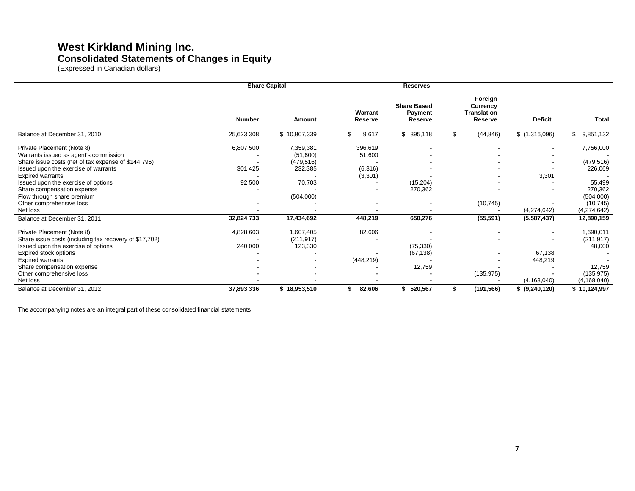# **West Kirkland Mining Inc. Consolidated Statements of Changes in Equity**

(Expressed in Canadian dollars)

|                                                                                                                                                                                                                                                                                                                                          | <b>Share Capital</b>           |                                                                       |                                         | <b>Reserves</b>                                 |                                                             |                                    |                                                                                                  |
|------------------------------------------------------------------------------------------------------------------------------------------------------------------------------------------------------------------------------------------------------------------------------------------------------------------------------------------|--------------------------------|-----------------------------------------------------------------------|-----------------------------------------|-------------------------------------------------|-------------------------------------------------------------|------------------------------------|--------------------------------------------------------------------------------------------------|
|                                                                                                                                                                                                                                                                                                                                          | <b>Number</b>                  | Amount                                                                | Warrant<br>Reserve                      | <b>Share Based</b><br>Payment<br><b>Reserve</b> | Foreign<br><b>Currency</b><br><b>Translation</b><br>Reserve | <b>Deficit</b>                     | <b>Total</b>                                                                                     |
| Balance at December 31, 2010                                                                                                                                                                                                                                                                                                             | 25,623,308                     | \$10,807,339                                                          | 9,617<br>\$.                            | \$395,118                                       | \$<br>(44, 846)                                             | \$(1,316,096)                      | \$<br>9,851,132                                                                                  |
| Private Placement (Note 8)<br>Warrants issued as agent's commission<br>Share issue costs (net of tax expense of \$144,795)<br>Issued upon the exercise of warrants<br><b>Expired warrants</b><br>Issued upon the exercise of options<br>Share compensation expense<br>Flow through share premium<br>Other comprehensive loss<br>Net loss | 6,807,500<br>301,425<br>92,500 | 7,359,381<br>(51,600)<br>(479, 516)<br>232,385<br>70,703<br>(504,000) | 396,619<br>51,600<br>(6,316)<br>(3,301) | (15,204)<br>270,362                             | (10, 745)                                                   | 3,301<br>(4,274,642)               | 7,756,000<br>(479, 516)<br>226,069<br>55,499<br>270,362<br>(504,000)<br>(10, 745)<br>(4,274,642) |
| Balance at December 31, 2011                                                                                                                                                                                                                                                                                                             | 32,824,733                     | 17,434,692                                                            | 448,219                                 | 650,276                                         | (55, 591)                                                   | (5,587,437)                        | 12,890,159                                                                                       |
| Private Placement (Note 8)<br>Share issue costs (including tax recovery of \$17,702)<br>Issued upon the exercise of options<br>Expired stock options<br><b>Expired warrants</b><br>Share compensation expense<br>Other comprehensive loss<br>Net loss                                                                                    | 4,828,603<br>240,000           | 1,607,405<br>(211, 917)<br>123,330                                    | 82,606<br>(448, 219)                    | (75, 330)<br>(67, 138)<br>12,759                | (135, 975)                                                  | 67,138<br>448,219<br>(4, 168, 040) | 1,690,011<br>(211, 917)<br>48,000<br>12,759<br>(135, 975)<br>(4, 168, 040)                       |
| Balance at December 31, 2012                                                                                                                                                                                                                                                                                                             | 37,893,336                     | \$18,953,510                                                          | 82,606<br>\$                            | 520,567                                         | (191, 566)                                                  | \$ (9,240,120)                     | \$10,124,997                                                                                     |

The accompanying notes are an integral part of these consolidated financial statements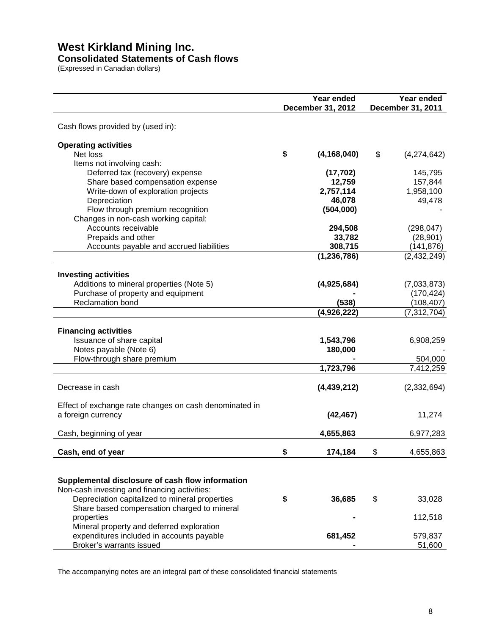# **West Kirkland Mining Inc.**

# **Consolidated Statements of Cash flows**

(Expressed in Canadian dollars)

|                                                        | Year ended<br>December 31, 2012 |    | Year ended<br>December 31, 2011 |
|--------------------------------------------------------|---------------------------------|----|---------------------------------|
|                                                        |                                 |    |                                 |
| Cash flows provided by (used in):                      |                                 |    |                                 |
| <b>Operating activities</b>                            |                                 |    |                                 |
| Net loss                                               | \$<br>(4, 168, 040)             | \$ | (4,274,642)                     |
| Items not involving cash:                              |                                 |    |                                 |
| Deferred tax (recovery) expense                        | (17, 702)                       |    | 145,795                         |
| Share based compensation expense                       | 12,759                          |    | 157,844                         |
| Write-down of exploration projects                     | 2,757,114                       |    | 1,958,100                       |
| Depreciation                                           | 46,078                          |    | 49,478                          |
| Flow through premium recognition                       | (504,000)                       |    |                                 |
| Changes in non-cash working capital:                   |                                 |    |                                 |
| Accounts receivable                                    | 294,508                         |    | (298, 047)                      |
| Prepaids and other                                     | 33,782                          |    | (28, 901)                       |
| Accounts payable and accrued liabilities               | 308,715                         |    | (141, 876)                      |
|                                                        | (1, 236, 786)                   |    | (2,432,249)                     |
| <b>Investing activities</b>                            |                                 |    |                                 |
| Additions to mineral properties (Note 5)               | (4,925,684)                     |    | (7,033,873)                     |
| Purchase of property and equipment                     |                                 |    | (170, 424)                      |
| <b>Reclamation bond</b>                                | (538)                           |    | (108, 407)                      |
|                                                        | (4,926,222)                     |    | (7, 312, 704)                   |
|                                                        |                                 |    |                                 |
| <b>Financing activities</b>                            |                                 |    |                                 |
| Issuance of share capital                              | 1,543,796                       |    | 6,908,259                       |
| Notes payable (Note 6)                                 | 180,000                         |    |                                 |
| Flow-through share premium                             |                                 |    | 504,000                         |
|                                                        | 1,723,796                       |    | 7,412,259                       |
| Decrease in cash                                       | (4, 439, 212)                   |    | (2,332,694)                     |
| Effect of exchange rate changes on cash denominated in |                                 |    |                                 |
| a foreign currency                                     | (42, 467)                       |    | 11,274                          |
|                                                        |                                 |    |                                 |
| Cash, beginning of year                                | 4,655,863                       |    | 6,977,283                       |
| Cash, end of year                                      | \$<br>174,184                   | \$ | 4,655,863                       |
|                                                        |                                 |    |                                 |
| Supplemental disclosure of cash flow information       |                                 |    |                                 |
| Non-cash investing and financing activities:           |                                 |    |                                 |
| Depreciation capitalized to mineral properties         | \$<br>36,685                    | \$ | 33,028                          |
| Share based compensation charged to mineral            |                                 |    |                                 |
| properties                                             |                                 |    | 112,518                         |
| Mineral property and deferred exploration              |                                 |    |                                 |
| expenditures included in accounts payable              | 681,452                         |    | 579,837                         |
| Broker's warrants issued                               |                                 |    | 51,600                          |

The accompanying notes are an integral part of these consolidated financial statements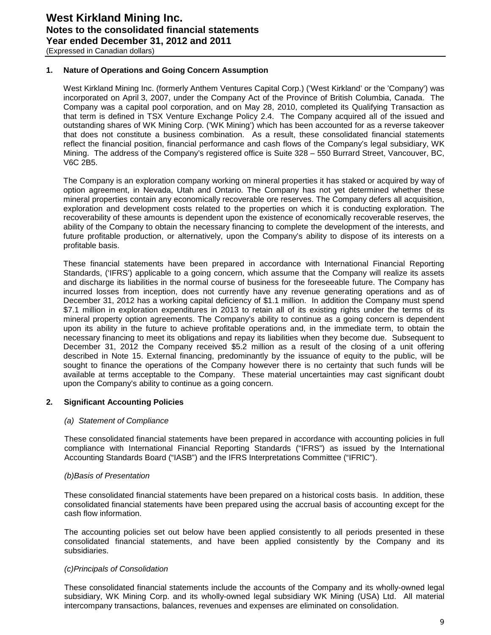#### **1. Nature of Operations and Going Concern Assumption**

West Kirkland Mining Inc. (formerly Anthem Ventures Capital Corp.) ('West Kirkland' or the 'Company') was incorporated on April 3, 2007, under the Company Act of the Province of British Columbia, Canada. The Company was a capital pool corporation, and on May 28, 2010, completed its Qualifying Transaction as that term is defined in TSX Venture Exchange Policy 2.4. The Company acquired all of the issued and outstanding shares of WK Mining Corp. ('WK Mining') which has been accounted for as a reverse takeover that does not constitute a business combination. As a result, these consolidated financial statements reflect the financial position, financial performance and cash flows of the Company's legal subsidiary, WK Mining. The address of the Company's registered office is Suite 328 – 550 Burrard Street, Vancouver, BC, V6C 2B5.

The Company is an exploration company working on mineral properties it has staked or acquired by way of option agreement, in Nevada, Utah and Ontario. The Company has not yet determined whether these mineral properties contain any economically recoverable ore reserves. The Company defers all acquisition, exploration and development costs related to the properties on which it is conducting exploration. The recoverability of these amounts is dependent upon the existence of economically recoverable reserves, the ability of the Company to obtain the necessary financing to complete the development of the interests, and future profitable production, or alternatively, upon the Company's ability to dispose of its interests on a profitable basis.

These financial statements have been prepared in accordance with International Financial Reporting Standards, ('IFRS') applicable to a going concern, which assume that the Company will realize its assets and discharge its liabilities in the normal course of business for the foreseeable future. The Company has incurred losses from inception, does not currently have any revenue generating operations and as of December 31, 2012 has a working capital deficiency of \$1.1 million. In addition the Company must spend \$7.1 million in exploration expenditures in 2013 to retain all of its existing rights under the terms of its mineral property option agreements. The Company's ability to continue as a going concern is dependent upon its ability in the future to achieve profitable operations and, in the immediate term, to obtain the necessary financing to meet its obligations and repay its liabilities when they become due. Subsequent to December 31, 2012 the Company received \$5.2 million as a result of the closing of a unit offering described in Note 15. External financing, predominantly by the issuance of equity to the public, will be sought to finance the operations of the Company however there is no certainty that such funds will be available at terms acceptable to the Company. These material uncertainties may cast significant doubt upon the Company's ability to continue as a going concern.

#### **2. Significant Accounting Policies**

#### *(a) Statement of Compliance*

These consolidated financial statements have been prepared in accordance with accounting policies in full compliance with International Financial Reporting Standards ("IFRS") as issued by the International Accounting Standards Board ("IASB") and the IFRS Interpretations Committee ("IFRIC").

#### *(b)Basis of Presentation*

These consolidated financial statements have been prepared on a historical costs basis. In addition, these consolidated financial statements have been prepared using the accrual basis of accounting except for the cash flow information.

The accounting policies set out below have been applied consistently to all periods presented in these consolidated financial statements, and have been applied consistently by the Company and its subsidiaries.

#### *(c)Principals of Consolidation*

These consolidated financial statements include the accounts of the Company and its wholly-owned legal subsidiary, WK Mining Corp. and its wholly-owned legal subsidiary WK Mining (USA) Ltd. All material intercompany transactions, balances, revenues and expenses are eliminated on consolidation.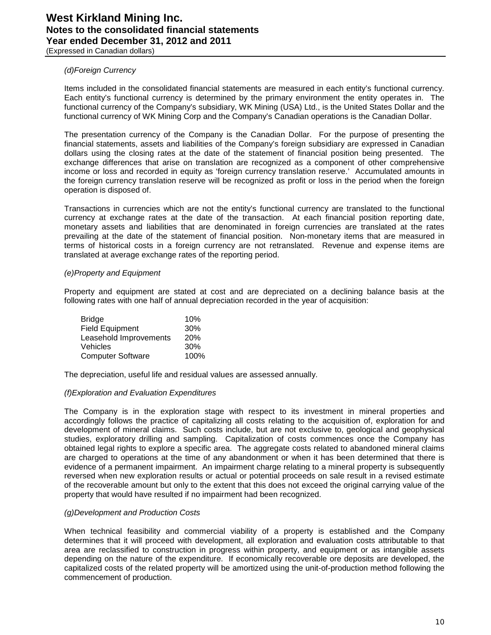#### *(d)Foreign Currency*

Items included in the consolidated financial statements are measured in each entity's functional currency. Each entity's functional currency is determined by the primary environment the entity operates in. The functional currency of the Company's subsidiary, WK Mining (USA) Ltd., is the United States Dollar and the functional currency of WK Mining Corp and the Company's Canadian operations is the Canadian Dollar.

The presentation currency of the Company is the Canadian Dollar. For the purpose of presenting the financial statements, assets and liabilities of the Company's foreign subsidiary are expressed in Canadian dollars using the closing rates at the date of the statement of financial position being presented. The exchange differences that arise on translation are recognized as a component of other comprehensive income or loss and recorded in equity as 'foreign currency translation reserve.' Accumulated amounts in the foreign currency translation reserve will be recognized as profit or loss in the period when the foreign operation is disposed of.

Transactions in currencies which are not the entity's functional currency are translated to the functional currency at exchange rates at the date of the transaction. At each financial position reporting date, monetary assets and liabilities that are denominated in foreign currencies are translated at the rates prevailing at the date of the statement of financial position. Non-monetary items that are measured in terms of historical costs in a foreign currency are not retranslated. Revenue and expense items are translated at average exchange rates of the reporting period.

#### *(e)Property and Equipment*

Property and equipment are stated at cost and are depreciated on a declining balance basis at the following rates with one half of annual depreciation recorded in the year of acquisition:

| <b>Bridge</b>            | 10%        |
|--------------------------|------------|
| <b>Field Equipment</b>   | 30%        |
| Leasehold Improvements   | <b>20%</b> |
| Vehicles                 | 30%        |
| <b>Computer Software</b> | 100%       |

The depreciation, useful life and residual values are assessed annually.

#### *(f)Exploration and Evaluation Expenditures*

The Company is in the exploration stage with respect to its investment in mineral properties and accordingly follows the practice of capitalizing all costs relating to the acquisition of, exploration for and development of mineral claims. Such costs include, but are not exclusive to, geological and geophysical studies, exploratory drilling and sampling. Capitalization of costs commences once the Company has obtained legal rights to explore a specific area. The aggregate costs related to abandoned mineral claims are charged to operations at the time of any abandonment or when it has been determined that there is evidence of a permanent impairment. An impairment charge relating to a mineral property is subsequently reversed when new exploration results or actual or potential proceeds on sale result in a revised estimate of the recoverable amount but only to the extent that this does not exceed the original carrying value of the property that would have resulted if no impairment had been recognized.

#### *(g)Development and Production Costs*

When technical feasibility and commercial viability of a property is established and the Company determines that it will proceed with development, all exploration and evaluation costs attributable to that area are reclassified to construction in progress within property, and equipment or as intangible assets depending on the nature of the expenditure. If economically recoverable ore deposits are developed, the capitalized costs of the related property will be amortized using the unit-of-production method following the commencement of production.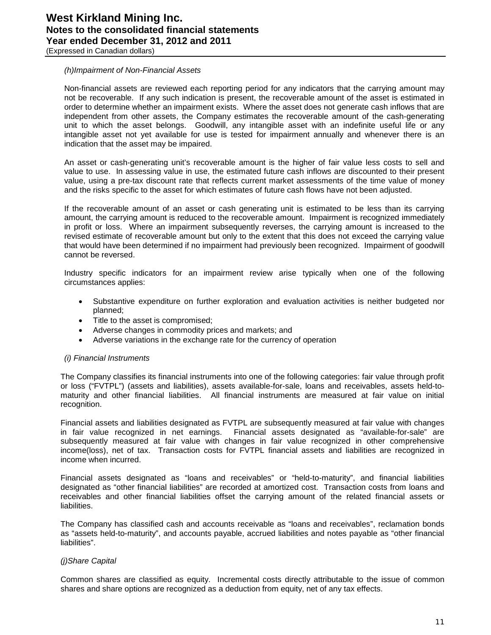#### *(h)Impairment of Non-Financial Assets*

Non-financial assets are reviewed each reporting period for any indicators that the carrying amount may not be recoverable. If any such indication is present, the recoverable amount of the asset is estimated in order to determine whether an impairment exists. Where the asset does not generate cash inflows that are independent from other assets, the Company estimates the recoverable amount of the cash-generating unit to which the asset belongs. Goodwill, any intangible asset with an indefinite useful life or any intangible asset not yet available for use is tested for impairment annually and whenever there is an indication that the asset may be impaired.

An asset or cash-generating unit's recoverable amount is the higher of fair value less costs to sell and value to use. In assessing value in use, the estimated future cash inflows are discounted to their present value, using a pre-tax discount rate that reflects current market assessments of the time value of money and the risks specific to the asset for which estimates of future cash flows have not been adjusted.

If the recoverable amount of an asset or cash generating unit is estimated to be less than its carrying amount, the carrying amount is reduced to the recoverable amount. Impairment is recognized immediately in profit or loss. Where an impairment subsequently reverses, the carrying amount is increased to the revised estimate of recoverable amount but only to the extent that this does not exceed the carrying value that would have been determined if no impairment had previously been recognized. Impairment of goodwill cannot be reversed.

Industry specific indicators for an impairment review arise typically when one of the following circumstances applies:

- Substantive expenditure on further exploration and evaluation activities is neither budgeted nor planned;
- Title to the asset is compromised;
- Adverse changes in commodity prices and markets; and
- Adverse variations in the exchange rate for the currency of operation

#### *(i) Financial Instruments*

The Company classifies its financial instruments into one of the following categories: fair value through profit or loss ("FVTPL") (assets and liabilities), assets available-for-sale, loans and receivables, assets held-tomaturity and other financial liabilities. All financial instruments are measured at fair value on initial recognition.

Financial assets and liabilities designated as FVTPL are subsequently measured at fair value with changes in fair value recognized in net earnings. Financial assets designated as "available-for-sale" are subsequently measured at fair value with changes in fair value recognized in other comprehensive income(loss), net of tax. Transaction costs for FVTPL financial assets and liabilities are recognized in income when incurred.

Financial assets designated as "loans and receivables" or "held-to-maturity", and financial liabilities designated as "other financial liabilities" are recorded at amortized cost. Transaction costs from loans and receivables and other financial liabilities offset the carrying amount of the related financial assets or liabilities.

The Company has classified cash and accounts receivable as "loans and receivables", reclamation bonds as "assets held-to-maturity", and accounts payable, accrued liabilities and notes payable as "other financial liabilities".

#### *(j)Share Capital*

Common shares are classified as equity. Incremental costs directly attributable to the issue of common shares and share options are recognized as a deduction from equity, net of any tax effects.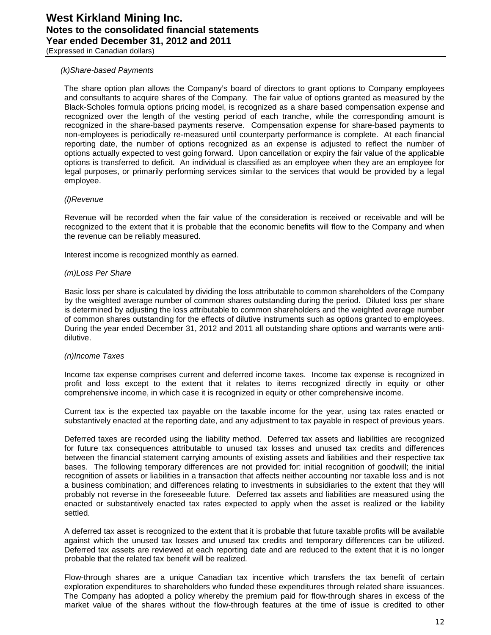#### *(k)Share-based Payments*

The share option plan allows the Company's board of directors to grant options to Company employees and consultants to acquire shares of the Company. The fair value of options granted as measured by the Black-Scholes formula options pricing model, is recognized as a share based compensation expense and recognized over the length of the vesting period of each tranche, while the corresponding amount is recognized in the share-based payments reserve. Compensation expense for share-based payments to non-employees is periodically re-measured until counterparty performance is complete. At each financial reporting date, the number of options recognized as an expense is adjusted to reflect the number of options actually expected to vest going forward. Upon cancellation or expiry the fair value of the applicable options is transferred to deficit. An individual is classified as an employee when they are an employee for legal purposes, or primarily performing services similar to the services that would be provided by a legal employee.

#### *(l)Revenue*

Revenue will be recorded when the fair value of the consideration is received or receivable and will be recognized to the extent that it is probable that the economic benefits will flow to the Company and when the revenue can be reliably measured.

Interest income is recognized monthly as earned.

#### *(m)Loss Per Share*

Basic loss per share is calculated by dividing the loss attributable to common shareholders of the Company by the weighted average number of common shares outstanding during the period. Diluted loss per share is determined by adjusting the loss attributable to common shareholders and the weighted average number of common shares outstanding for the effects of dilutive instruments such as options granted to employees. During the year ended December 31, 2012 and 2011 all outstanding share options and warrants were antidilutive.

#### *(n)Income Taxes*

Income tax expense comprises current and deferred income taxes. Income tax expense is recognized in profit and loss except to the extent that it relates to items recognized directly in equity or other comprehensive income, in which case it is recognized in equity or other comprehensive income.

Current tax is the expected tax payable on the taxable income for the year, using tax rates enacted or substantively enacted at the reporting date, and any adjustment to tax payable in respect of previous years.

Deferred taxes are recorded using the liability method. Deferred tax assets and liabilities are recognized for future tax consequences attributable to unused tax losses and unused tax credits and differences between the financial statement carrying amounts of existing assets and liabilities and their respective tax bases. The following temporary differences are not provided for: initial recognition of goodwill; the initial recognition of assets or liabilities in a transaction that affects neither accounting nor taxable loss and is not a business combination; and differences relating to investments in subsidiaries to the extent that they will probably not reverse in the foreseeable future. Deferred tax assets and liabilities are measured using the enacted or substantively enacted tax rates expected to apply when the asset is realized or the liability settled.

A deferred tax asset is recognized to the extent that it is probable that future taxable profits will be available against which the unused tax losses and unused tax credits and temporary differences can be utilized. Deferred tax assets are reviewed at each reporting date and are reduced to the extent that it is no longer probable that the related tax benefit will be realized.

Flow-through shares are a unique Canadian tax incentive which transfers the tax benefit of certain exploration expenditures to shareholders who funded these expenditures through related share issuances. The Company has adopted a policy whereby the premium paid for flow-through shares in excess of the market value of the shares without the flow-through features at the time of issue is credited to other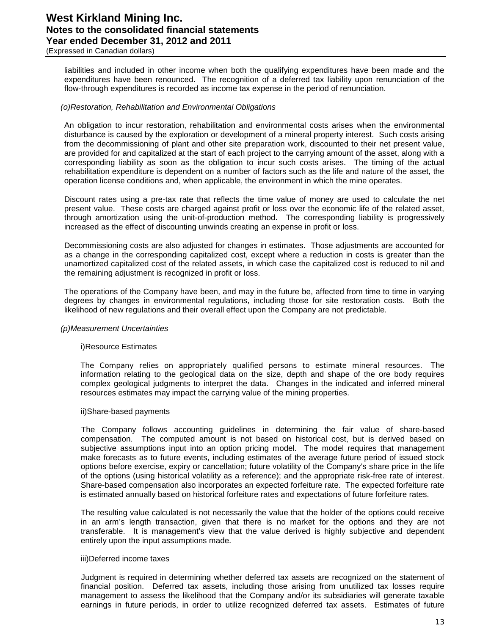# **West Kirkland Mining Inc. Notes to the consolidated financial statements Year ended December 31, 2012 and 2011**

(Expressed in Canadian dollars)

liabilities and included in other income when both the qualifying expenditures have been made and the expenditures have been renounced. The recognition of a deferred tax liability upon renunciation of the flow-through expenditures is recorded as income tax expense in the period of renunciation.

#### *(o)Restoration, Rehabilitation and Environmental Obligations*

An obligation to incur restoration, rehabilitation and environmental costs arises when the environmental disturbance is caused by the exploration or development of a mineral property interest. Such costs arising from the decommissioning of plant and other site preparation work, discounted to their net present value, are provided for and capitalized at the start of each project to the carrying amount of the asset, along with a corresponding liability as soon as the obligation to incur such costs arises. The timing of the actual rehabilitation expenditure is dependent on a number of factors such as the life and nature of the asset, the operation license conditions and, when applicable, the environment in which the mine operates.

Discount rates using a pre-tax rate that reflects the time value of money are used to calculate the net present value. These costs are charged against profit or loss over the economic life of the related asset, through amortization using the unit-of-production method. The corresponding liability is progressively increased as the effect of discounting unwinds creating an expense in profit or loss.

Decommissioning costs are also adjusted for changes in estimates. Those adjustments are accounted for as a change in the corresponding capitalized cost, except where a reduction in costs is greater than the unamortized capitalized cost of the related assets, in which case the capitalized cost is reduced to nil and the remaining adjustment is recognized in profit or loss.

The operations of the Company have been, and may in the future be, affected from time to time in varying degrees by changes in environmental regulations, including those for site restoration costs. Both the likelihood of new regulations and their overall effect upon the Company are not predictable.

#### *(p)Measurement Uncertainties*

#### i)Resource Estimates

The Company relies on appropriately qualified persons to estimate mineral resources. The information relating to the geological data on the size, depth and shape of the ore body requires complex geological judgments to interpret the data. Changes in the indicated and inferred mineral resources estimates may impact the carrying value of the mining properties.

#### ii)Share-based payments

The Company follows accounting guidelines in determining the fair value of share-based compensation. The computed amount is not based on historical cost, but is derived based on subjective assumptions input into an option pricing model. The model requires that management make forecasts as to future events, including estimates of the average future period of issued stock options before exercise, expiry or cancellation; future volatility of the Company's share price in the life of the options (using historical volatility as a reference); and the appropriate risk-free rate of interest. Share-based compensation also incorporates an expected forfeiture rate. The expected forfeiture rate is estimated annually based on historical forfeiture rates and expectations of future forfeiture rates.

The resulting value calculated is not necessarily the value that the holder of the options could receive in an arm's length transaction, given that there is no market for the options and they are not transferable. It is management's view that the value derived is highly subjective and dependent entirely upon the input assumptions made.

#### iii)Deferred income taxes

Judgment is required in determining whether deferred tax assets are recognized on the statement of financial position. Deferred tax assets, including those arising from unutilized tax losses require management to assess the likelihood that the Company and/or its subsidiaries will generate taxable earnings in future periods, in order to utilize recognized deferred tax assets. Estimates of future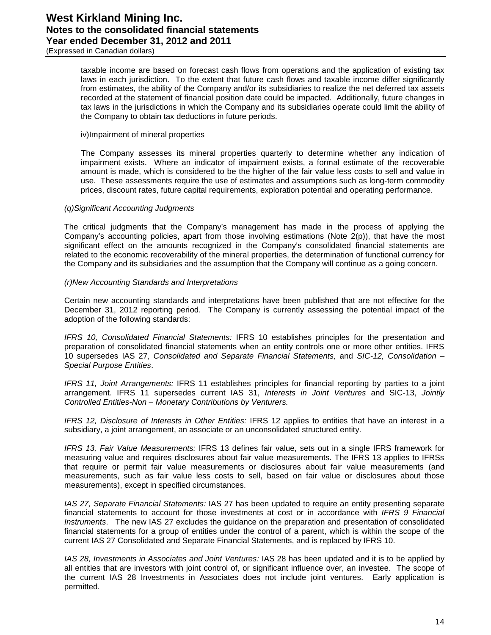taxable income are based on forecast cash flows from operations and the application of existing tax laws in each jurisdiction. To the extent that future cash flows and taxable income differ significantly from estimates, the ability of the Company and/or its subsidiaries to realize the net deferred tax assets recorded at the statement of financial position date could be impacted. Additionally, future changes in tax laws in the jurisdictions in which the Company and its subsidiaries operate could limit the ability of the Company to obtain tax deductions in future periods.

#### iv)Impairment of mineral properties

The Company assesses its mineral properties quarterly to determine whether any indication of impairment exists. Where an indicator of impairment exists, a formal estimate of the recoverable amount is made, which is considered to be the higher of the fair value less costs to sell and value in use. These assessments require the use of estimates and assumptions such as long-term commodity prices, discount rates, future capital requirements, exploration potential and operating performance.

#### *(q)Significant Accounting Judgments*

The critical judgments that the Company's management has made in the process of applying the Company's accounting policies, apart from those involving estimations (Note 2(p)), that have the most significant effect on the amounts recognized in the Company's consolidated financial statements are related to the economic recoverability of the mineral properties, the determination of functional currency for the Company and its subsidiaries and the assumption that the Company will continue as a going concern.

#### *(r)New Accounting Standards and Interpretations*

Certain new accounting standards and interpretations have been published that are not effective for the December 31, 2012 reporting period. The Company is currently assessing the potential impact of the adoption of the following standards:

*IFRS 10, Consolidated Financial Statements:* IFRS 10 establishes principles for the presentation and preparation of consolidated financial statements when an entity controls one or more other entities. IFRS 10 supersedes IAS 27, *Consolidated and Separate Financial Statements,* and *SIC-12, Consolidation – Special Purpose Entities*.

*IFRS 11, Joint Arrangements:* IFRS 11 establishes principles for financial reporting by parties to a joint arrangement. IFRS 11 supersedes current IAS 31, *Interests in Joint Ventures* and SIC-13, *Jointly Controlled Entities-Non – Monetary Contributions by Venturers.* 

*IFRS 12, Disclosure of Interests in Other Entities:* IFRS 12 applies to entities that have an interest in a subsidiary, a joint arrangement, an associate or an unconsolidated structured entity.

*IFRS 13, Fair Value Measurements:* IFRS 13 defines fair value, sets out in a single IFRS framework for measuring value and requires disclosures about fair value measurements. The IFRS 13 applies to IFRSs that require or permit fair value measurements or disclosures about fair value measurements (and measurements, such as fair value less costs to sell, based on fair value or disclosures about those measurements), except in specified circumstances.

*IAS 27, Separate Financial Statements:* IAS 27 has been updated to require an entity presenting separate financial statements to account for those investments at cost or in accordance with *IFRS 9 Financial Instruments*. The new IAS 27 excludes the guidance on the preparation and presentation of consolidated financial statements for a group of entities under the control of a parent, which is within the scope of the current IAS 27 Consolidated and Separate Financial Statements, and is replaced by IFRS 10.

*IAS 28, Investments in Associates and Joint Ventures:* IAS 28 has been updated and it is to be applied by all entities that are investors with joint control of, or significant influence over, an investee. The scope of the current IAS 28 Investments in Associates does not include joint ventures. Early application is permitted.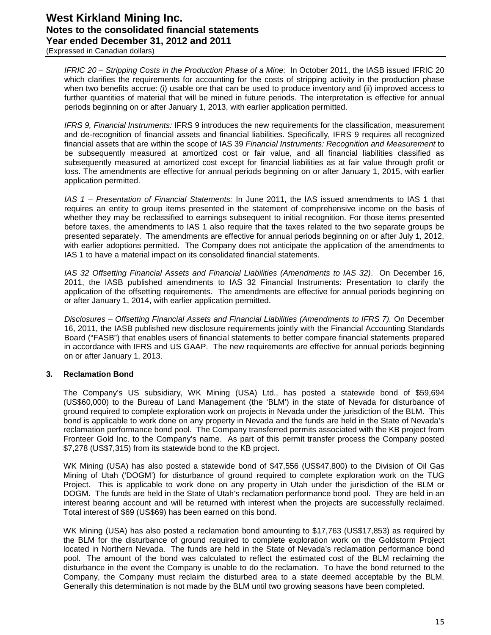*IFRIC 20* – *Stripping Costs in the Production Phase of a Mine:* In October 2011, the IASB issued IFRIC 20 which clarifies the requirements for accounting for the costs of stripping activity in the production phase when two benefits accrue: (i) usable ore that can be used to produce inventory and (ii) improved access to further quantities of material that will be mined in future periods. The interpretation is effective for annual periods beginning on or after January 1, 2013, with earlier application permitted.

*IFRS 9, Financial Instruments:* IFRS 9 introduces the new requirements for the classification, measurement and de-recognition of financial assets and financial liabilities. Specifically, IFRS 9 requires all recognized financial assets that are within the scope of IAS 39 *Financial Instruments: Recognition and Measurement* to be subsequently measured at amortized cost or fair value, and all financial liabilities classified as subsequently measured at amortized cost except for financial liabilities as at fair value through profit or loss. The amendments are effective for annual periods beginning on or after January 1, 2015, with earlier application permitted.

*IAS 1 – Presentation of Financial Statements:* In June 2011, the IAS issued amendments to IAS 1 that requires an entity to group items presented in the statement of comprehensive income on the basis of whether they may be reclassified to earnings subsequent to initial recognition. For those items presented before taxes, the amendments to IAS 1 also require that the taxes related to the two separate groups be presented separately. The amendments are effective for annual periods beginning on or after July 1, 2012, with earlier adoptions permitted. The Company does not anticipate the application of the amendments to IAS 1 to have a material impact on its consolidated financial statements.

*IAS 32 Offsetting Financial Assets and Financial Liabilities (Amendments to IAS 32)*. On December 16, 2011, the IASB published amendments to IAS 32 Financial Instruments: Presentation to clarify the application of the offsetting requirements. The amendments are effective for annual periods beginning on or after January 1, 2014, with earlier application permitted.

*Disclosures – Offsetting Financial Assets and Financial Liabilities (Amendments to IFRS 7).* On December 16, 2011, the IASB published new disclosure requirements jointly with the Financial Accounting Standards Board ("FASB") that enables users of financial statements to better compare financial statements prepared in accordance with IFRS and US GAAP. The new requirements are effective for annual periods beginning on or after January 1, 2013.

### **3. Reclamation Bond**

The Company's US subsidiary, WK Mining (USA) Ltd., has posted a statewide bond of \$59,694 (US\$60,000) to the Bureau of Land Management (the 'BLM') in the state of Nevada for disturbance of ground required to complete exploration work on projects in Nevada under the jurisdiction of the BLM. This bond is applicable to work done on any property in Nevada and the funds are held in the State of Nevada's reclamation performance bond pool. The Company transferred permits associated with the KB project from Fronteer Gold Inc. to the Company's name. As part of this permit transfer process the Company posted \$7,278 (US\$7,315) from its statewide bond to the KB project.

WK Mining (USA) has also posted a statewide bond of \$47,556 (US\$47,800) to the Division of Oil Gas Mining of Utah ('DOGM') for disturbance of ground required to complete exploration work on the TUG Project. This is applicable to work done on any property in Utah under the jurisdiction of the BLM or DOGM. The funds are held in the State of Utah's reclamation performance bond pool. They are held in an interest bearing account and will be returned with interest when the projects are successfully reclaimed. Total interest of \$69 (US\$69) has been earned on this bond.

WK Mining (USA) has also posted a reclamation bond amounting to \$17,763 (US\$17,853) as required by the BLM for the disturbance of ground required to complete exploration work on the Goldstorm Project located in Northern Nevada. The funds are held in the State of Nevada's reclamation performance bond pool. The amount of the bond was calculated to reflect the estimated cost of the BLM reclaiming the disturbance in the event the Company is unable to do the reclamation. To have the bond returned to the Company, the Company must reclaim the disturbed area to a state deemed acceptable by the BLM. Generally this determination is not made by the BLM until two growing seasons have been completed.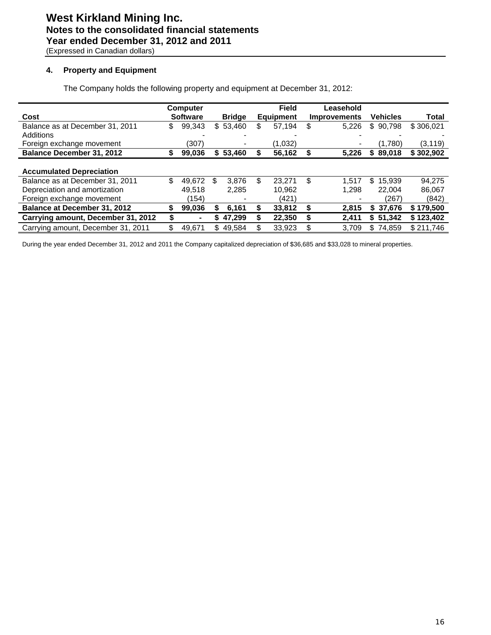### **4. Property and Equipment**

|                                    | <b>Computer</b> |     |               |    | <b>Field</b> |    | Leasehold           |                 |           |
|------------------------------------|-----------------|-----|---------------|----|--------------|----|---------------------|-----------------|-----------|
| Cost                               | <b>Software</b> |     | <b>Bridge</b> |    | Equipment    |    | <b>Improvements</b> | <b>Vehicles</b> | Total     |
| Balance as at December 31, 2011    | \$<br>99.343    |     | \$53.460      | \$ | 57.194       | \$ | 5.226               | 90.798<br>\$    | \$306.021 |
| Additions                          |                 |     |               |    |              |    |                     |                 |           |
| Foreign exchange movement          | (307)           |     |               |    | (1.032)      |    |                     | (1.780)         | (3, 119)  |
| <b>Balance December 31, 2012</b>   | \$<br>99,036    |     | \$53,460      |    | 56,162       |    | 5.226               | 89,018<br>S.    | \$302,902 |
|                                    |                 |     |               |    |              |    |                     |                 |           |
| <b>Accumulated Depreciation</b>    |                 |     |               |    |              |    |                     |                 |           |
| Balance as at December 31, 2011    | \$<br>49.672    | \$. | 3.876         | \$ | 23.271       | \$ | 1.517               | \$<br>15.939    | 94,275    |
| Depreciation and amortization      | 49.518          |     | 2.285         |    | 10.962       |    | 1.298               | 22.004          | 86,067    |
| Foreign exchange movement          | (154)           |     |               |    | (421)        |    |                     | (267)           | (842)     |
| Balance at December 31, 2012       | \$<br>99.036    |     | 6,161         | S  | 33,812       | S  | 2,815               | 37,676<br>S.    | \$179,500 |
| Carrying amount, December 31, 2012 | ۰               |     | 47,299        |    | 22,350       | S  | 2,411               | 51,342<br>S.    | \$123,402 |
| Carrying amount, December 31, 2011 | \$<br>49.671    | \$  | 49.584        |    | 33.923       | \$ | 3.709               | \$<br>74.859    | \$211.746 |

The Company holds the following property and equipment at December 31, 2012:

During the year ended December 31, 2012 and 2011 the Company capitalized depreciation of \$36,685 and \$33,028 to mineral properties.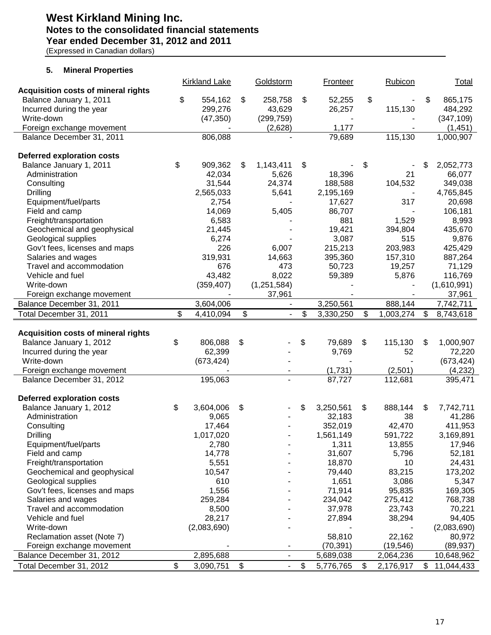# **West Kirkland Mining Inc. Notes to the consolidated financial statements Year ended December 31, 2012 and 2011**

(Expressed in Canadian dollars)

# **5. Mineral Properties**

|                                                       | <b>Kirkland Lake</b>         |                           | Goldstorm                        | <b>Fronteer</b>              | Rubicon                      |                           | <b>Total</b>               |
|-------------------------------------------------------|------------------------------|---------------------------|----------------------------------|------------------------------|------------------------------|---------------------------|----------------------------|
| <b>Acquisition costs of mineral rights</b>            |                              |                           |                                  |                              |                              |                           |                            |
| Balance January 1, 2011                               | \$<br>554,162                | \$                        | 258,758                          | \$<br>52,255                 | \$                           | \$                        | 865,175                    |
| Incurred during the year                              | 299,276                      |                           | 43,629                           | 26,257                       | 115,130                      |                           | 484,292                    |
| Write-down                                            | (47, 350)                    |                           | (299, 759)                       |                              |                              |                           | (347, 109)                 |
| Foreign exchange movement                             |                              |                           | (2,628)                          | 1,177                        |                              |                           | (1, 451)                   |
| Balance December 31, 2011                             | 806,088                      |                           |                                  | 79,689                       | 115,130                      |                           | 1,000,907                  |
|                                                       |                              |                           |                                  |                              |                              |                           |                            |
| <b>Deferred exploration costs</b>                     |                              |                           |                                  |                              |                              |                           |                            |
| Balance January 1, 2011                               | \$<br>909,362                | \$                        | 1,143,411                        | \$                           | \$                           | \$                        | 2,052,773                  |
| Administration                                        | 42,034                       |                           | 5,626                            | 18,396                       | 21                           |                           | 66,077                     |
| Consulting                                            | 31,544                       |                           | 24,374                           | 188,588                      | 104,532                      |                           | 349,038                    |
| Drilling                                              | 2,565,033                    |                           | 5,641                            | 2,195,169                    |                              |                           | 4,765,845                  |
| Equipment/fuel/parts                                  | 2,754                        |                           |                                  | 17,627                       | 317                          |                           | 20,698                     |
| Field and camp                                        | 14,069                       |                           | 5,405                            | 86,707                       |                              |                           | 106,181                    |
| Freight/transportation                                | 6,583                        |                           |                                  | 881                          | 1,529                        |                           | 8,993                      |
| Geochemical and geophysical                           | 21,445                       |                           |                                  | 19,421                       | 394,804                      |                           | 435,670                    |
| Geological supplies                                   | 6,274                        |                           |                                  | 3,087                        | 515                          |                           | 9,876                      |
| Gov't fees, licenses and maps                         | 226                          |                           | 6,007                            | 215,213                      | 203,983                      |                           | 425,429                    |
| Salaries and wages                                    | 319,931                      |                           | 14,663                           | 395,360                      | 157,310                      |                           | 887,264                    |
| Travel and accommodation                              | 676                          |                           | 473                              | 50,723                       | 19,257                       |                           | 71,129                     |
| Vehicle and fuel                                      | 43,482                       |                           | 8,022                            | 59,389                       | 5,876                        |                           | 116,769                    |
| Write-down                                            | (359, 407)                   |                           | (1, 251, 584)                    |                              |                              |                           | (1,610,991)                |
| Foreign exchange movement                             |                              |                           | 37,961                           |                              |                              |                           | 37,961                     |
| Balance December 31, 2011                             | 3,604,006                    |                           | $\blacksquare$                   | 3,250,561                    | 888,144                      |                           | 7,742,711                  |
| Total December 31, 2011                               | \$<br>4,410,094              | \$                        | $\overline{\phantom{a}}$         | \$<br>3,330,250              | \$<br>1,003,274              | $\boldsymbol{\mathsf{S}}$ | 8,743,618                  |
|                                                       |                              |                           |                                  |                              |                              |                           |                            |
| <b>Acquisition costs of mineral rights</b>            |                              |                           |                                  |                              |                              |                           |                            |
| Balance January 1, 2012                               | \$<br>806,088                | \$                        |                                  | \$<br>79,689                 | \$<br>115,130                | \$                        | 1,000,907                  |
| Incurred during the year                              | 62,399                       |                           |                                  | 9,769                        | 52                           |                           | 72,220                     |
| Write-down                                            | (673, 424)                   |                           |                                  |                              |                              |                           | (673, 424)                 |
| Foreign exchange movement                             |                              |                           |                                  | (1,731)                      | (2,501)                      |                           | (4,232)                    |
| Balance December 31, 2012                             | 195,063                      |                           |                                  | 87,727                       | 112,681                      |                           | 395,471                    |
|                                                       |                              |                           |                                  |                              |                              |                           |                            |
| <b>Deferred exploration costs</b>                     |                              |                           |                                  |                              |                              |                           |                            |
| Balance January 1, 2012                               | \$<br>3,604,006              | \$                        |                                  | \$<br>3,250,561              | \$<br>888,144                | \$                        | 7,742,711                  |
| Administration                                        | 9,065                        |                           |                                  | 32,183                       | 38                           |                           | 41,286                     |
| Consulting                                            | 17,464                       |                           |                                  | 352,019                      | 42,470                       |                           | 411,953                    |
| Drilling                                              | 1,017,020                    |                           |                                  | 1,561,149                    | 591,722                      |                           | 3,169,891                  |
| Equipment/fuel/parts                                  | 2,780<br>14,778              |                           |                                  | 1,311                        | 13,855                       |                           | 17,946                     |
| Field and camp                                        |                              |                           |                                  | 31,607                       | 5,796                        |                           | 52,181                     |
| Freight/transportation<br>Geochemical and geophysical |                              |                           |                                  |                              |                              |                           | 24,431                     |
|                                                       | 5,551                        |                           |                                  | 18,870                       | 10                           |                           |                            |
|                                                       | 10,547                       |                           |                                  | 79,440                       | 83,215                       |                           | 173,202                    |
| Geological supplies                                   | 610                          |                           |                                  | 1,651                        | 3,086                        |                           | 5,347                      |
| Gov't fees, licenses and maps                         | 1,556                        |                           |                                  | 71,914                       | 95,835                       |                           | 169,305                    |
| Salaries and wages                                    | 259,284                      |                           |                                  | 234,042                      | 275,412                      |                           | 768,738                    |
| Travel and accommodation                              | 8,500                        |                           |                                  | 37,978                       | 23,743                       |                           | 70,221                     |
| Vehicle and fuel                                      | 28,217                       |                           |                                  | 27,894                       | 38,294                       |                           | 94,405                     |
| Write-down                                            | (2,083,690)                  |                           |                                  |                              |                              |                           | (2,083,690)                |
| Reclamation asset (Note 7)                            |                              |                           |                                  | 58,810                       | 22,162                       |                           | 80,972                     |
| Foreign exchange movement                             |                              |                           |                                  | (70, 391)                    | (19, 546)                    |                           | (89, 937)                  |
| Balance December 31, 2012<br>Total December 31, 2012  | \$<br>2,895,688<br>3,090,751 | $\boldsymbol{\mathsf{S}}$ | $\blacksquare$<br>$\blacksquare$ | \$<br>5,689,038<br>5,776,765 | \$<br>2,064,236<br>2,176,917 |                           | 10,648,962<br>\$11,044,433 |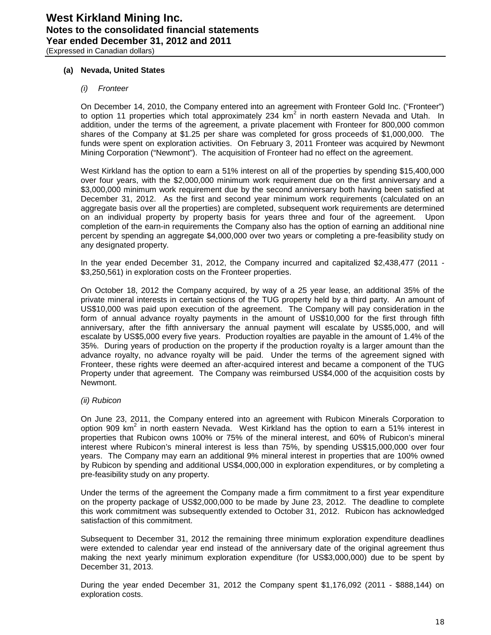### **(a) Nevada, United States**

#### *(i) Fronteer*

On December 14, 2010, the Company entered into an agreement with Fronteer Gold Inc. ("Fronteer") to option 11 properties which total approximately 234  $km^2$  in north eastern Nevada and Utah. In addition, under the terms of the agreement, a private placement with Fronteer for 800,000 common shares of the Company at \$1.25 per share was completed for gross proceeds of \$1,000,000. The funds were spent on exploration activities. On February 3, 2011 Fronteer was acquired by Newmont Mining Corporation ("Newmont"). The acquisition of Fronteer had no effect on the agreement.

West Kirkland has the option to earn a 51% interest on all of the properties by spending \$15,400,000 over four years, with the \$2,000,000 minimum work requirement due on the first anniversary and a \$3,000,000 minimum work requirement due by the second anniversary both having been satisfied at December 31, 2012. As the first and second year minimum work requirements (calculated on an aggregate basis over all the properties) are completed, subsequent work requirements are determined on an individual property by property basis for years three and four of the agreement. Upon completion of the earn-in requirements the Company also has the option of earning an additional nine percent by spending an aggregate \$4,000,000 over two years or completing a pre-feasibility study on any designated property.

In the year ended December 31, 2012, the Company incurred and capitalized \$2,438,477 (2011 - \$3,250,561) in exploration costs on the Fronteer properties.

On October 18, 2012 the Company acquired, by way of a 25 year lease, an additional 35% of the private mineral interests in certain sections of the TUG property held by a third party. An amount of US\$10,000 was paid upon execution of the agreement. The Company will pay consideration in the form of annual advance royalty payments in the amount of US\$10,000 for the first through fifth anniversary, after the fifth anniversary the annual payment will escalate by US\$5,000, and will escalate by US\$5,000 every five years. Production royalties are payable in the amount of 1.4% of the 35%. During years of production on the property if the production royalty is a larger amount than the advance royalty, no advance royalty will be paid. Under the terms of the agreement signed with Fronteer, these rights were deemed an after-acquired interest and became a component of the TUG Property under that agreement. The Company was reimbursed US\$4,000 of the acquisition costs by Newmont.

#### *(ii) Rubicon*

On June 23, 2011, the Company entered into an agreement with Rubicon Minerals Corporation to option 909  $km^2$  in north eastern Nevada. West Kirkland has the option to earn a 51% interest in properties that Rubicon owns 100% or 75% of the mineral interest, and 60% of Rubicon's mineral interest where Rubicon's mineral interest is less than 75%, by spending US\$15,000,000 over four years. The Company may earn an additional 9% mineral interest in properties that are 100% owned by Rubicon by spending and additional US\$4,000,000 in exploration expenditures, or by completing a pre-feasibility study on any property.

Under the terms of the agreement the Company made a firm commitment to a first year expenditure on the property package of US\$2,000,000 to be made by June 23, 2012. The deadline to complete this work commitment was subsequently extended to October 31, 2012. Rubicon has acknowledged satisfaction of this commitment.

Subsequent to December 31, 2012 the remaining three minimum exploration expenditure deadlines were extended to calendar year end instead of the anniversary date of the original agreement thus making the next yearly minimum exploration expenditure (for US\$3,000,000) due to be spent by December 31, 2013.

During the year ended December 31, 2012 the Company spent \$1,176,092 (2011 - \$888,144) on exploration costs.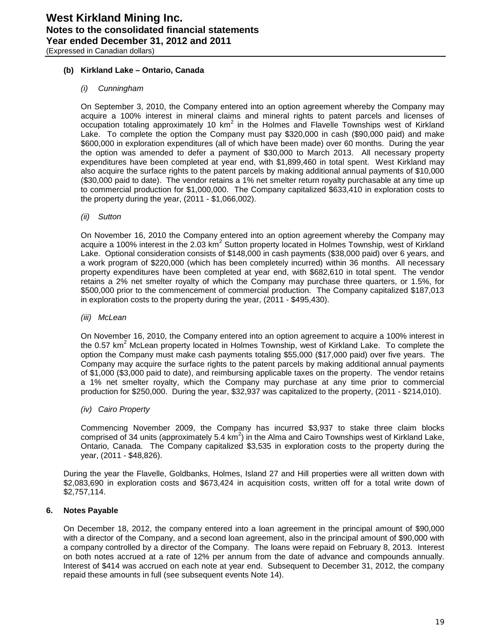### **(b) Kirkland Lake – Ontario, Canada**

### *(i) Cunningham*

On September 3, 2010, the Company entered into an option agreement whereby the Company may acquire a 100% interest in mineral claims and mineral rights to patent parcels and licenses of occupation totaling approximately 10 km<sup>2</sup> in the Holmes and Flavelle Townships west of Kirkland Lake. To complete the option the Company must pay \$320,000 in cash (\$90,000 paid) and make \$600,000 in exploration expenditures (all of which have been made) over 60 months. During the year the option was amended to defer a payment of \$30,000 to March 2013. All necessary property expenditures have been completed at year end, with \$1,899,460 in total spent. West Kirkland may also acquire the surface rights to the patent parcels by making additional annual payments of \$10,000 (\$30,000 paid to date). The vendor retains a 1% net smelter return royalty purchasable at any time up to commercial production for \$1,000,000. The Company capitalized \$633,410 in exploration costs to the property during the year, (2011 - \$1,066,002).

*(ii) Sutton*

On November 16, 2010 the Company entered into an option agreement whereby the Company may acquire a 100% interest in the 2.03 km<sup>2</sup> Sutton property located in Holmes Township, west of Kirkland Lake. Optional consideration consists of \$148,000 in cash payments (\$38,000 paid) over 6 years, and a work program of \$220,000 (which has been completely incurred) within 36 months. All necessary property expenditures have been completed at year end, with \$682,610 in total spent. The vendor retains a 2% net smelter royalty of which the Company may purchase three quarters, or 1.5%, for \$500,000 prior to the commencement of commercial production. The Company capitalized \$187,013 in exploration costs to the property during the year, (2011 - \$495,430).

*(iii) McLean* 

On November 16, 2010, the Company entered into an option agreement to acquire a 100% interest in the 0.57 km<sup>2</sup> McLean property located in Holmes Township, west of Kirkland Lake. To complete the option the Company must make cash payments totaling \$55,000 (\$17,000 paid) over five years. The Company may acquire the surface rights to the patent parcels by making additional annual payments of \$1,000 (\$3,000 paid to date), and reimbursing applicable taxes on the property. The vendor retains a 1% net smelter royalty, which the Company may purchase at any time prior to commercial production for \$250,000. During the year, \$32,937 was capitalized to the property, (2011 - \$214,010).

*(iv) Cairo Property*

Commencing November 2009, the Company has incurred \$3,937 to stake three claim blocks comprised of 34 units (approximately 5.4  $km^2$ ) in the Alma and Cairo Townships west of Kirkland Lake, Ontario, Canada. The Company capitalized \$3,535 in exploration costs to the property during the year, (2011 - \$48,826).

During the year the Flavelle, Goldbanks, Holmes, Island 27 and Hill properties were all written down with \$2,083,690 in exploration costs and \$673,424 in acquisition costs, written off for a total write down of \$2,757,114.

### **6. Notes Payable**

On December 18, 2012, the company entered into a loan agreement in the principal amount of \$90,000 with a director of the Company, and a second loan agreement, also in the principal amount of \$90,000 with a company controlled by a director of the Company. The loans were repaid on February 8, 2013. Interest on both notes accrued at a rate of 12% per annum from the date of advance and compounds annually. Interest of \$414 was accrued on each note at year end. Subsequent to December 31, 2012, the company repaid these amounts in full (see subsequent events Note 14).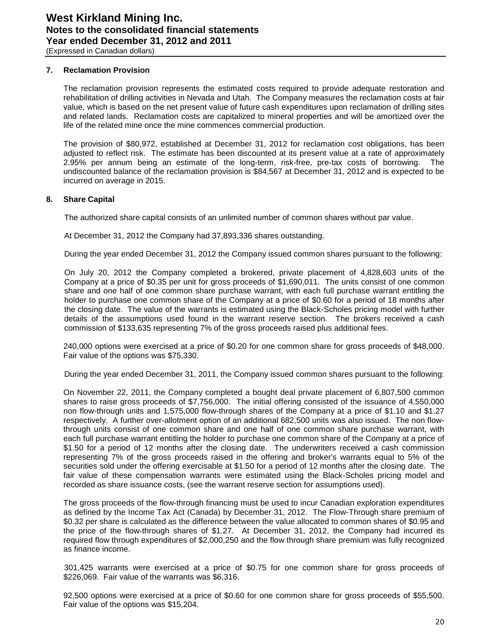#### **7. Reclamation Provision**

The reclamation provision represents the estimated costs required to provide adequate restoration and rehabilitation of drilling activities in Nevada and Utah. The Company measures the reclamation costs at fair value, which is based on the net present value of future cash expenditures upon reclamation of drilling sites and related lands. Reclamation costs are capitalized to mineral properties and will be amortized over the life of the related mine once the mine commences commercial production.

The provision of \$80,972, established at December 31, 2012 for reclamation cost obligations, has been adjusted to reflect risk. The estimate has been discounted at its present value at a rate of approximately 2.95% per annum being an estimate of the long-term, risk-free, pre-tax costs of borrowing. The undiscounted balance of the reclamation provision is \$84,567 at December 31, 2012 and is expected to be incurred on average in 2015.

#### **8. Share Capital**

The authorized share capital consists of an unlimited number of common shares without par value.

At December 31, 2012 the Company had 37,893,336 shares outstanding.

During the year ended December 31, 2012 the Company issued common shares pursuant to the following:

On July 20, 2012 the Company completed a brokered, private placement of 4,828,603 units of the Company at a price of \$0.35 per unit for gross proceeds of \$1,690,011. The units consist of one common share and one half of one common share purchase warrant, with each full purchase warrant entitling the holder to purchase one common share of the Company at a price of \$0.60 for a period of 18 months after the closing date. The value of the warrants is estimated using the Black-Scholes pricing model with further details of the assumptions used found in the warrant reserve section. The brokers received a cash commission of \$133,635 representing 7% of the gross proceeds raised plus additional fees.

240,000 options were exercised at a price of \$0.20 for one common share for gross proceeds of \$48,000. Fair value of the options was \$75,330.

During the year ended December 31, 2011, the Company issued common shares pursuant to the following:

On November 22, 2011, the Company completed a bought deal private placement of 6,807,500 common shares to raise gross proceeds of \$7,756,000. The initial offering consisted of the issuance of 4,550,000 non flow-through units and 1,575,000 flow-through shares of the Company at a price of \$1.10 and \$1.27 respectively. A further over-allotment option of an additional 682,500 units was also issued. The non flowthrough units consist of one common share and one half of one common share purchase warrant, with each full purchase warrant entitling the holder to purchase one common share of the Company at a price of \$1.50 for a period of 12 months after the closing date. The underwriters received a cash commission representing 7% of the gross proceeds raised in the offering and broker's warrants equal to 5% of the securities sold under the offering exercisable at \$1.50 for a period of 12 months after the closing date. The fair value of these compensation warrants were estimated using the Black-Scholes pricing model and recorded as share issuance costs, (see the warrant reserve section for assumptions used).

The gross proceeds of the flow-through financing must be used to incur Canadian exploration expenditures as defined by the Income Tax Act (Canada) by December 31, 2012. The Flow-Through share premium of \$0.32 per share is calculated as the difference between the value allocated to common shares of \$0.95 and the price of the flow-through shares of \$1.27. At December 31, 2012, the Company had incurred its required flow through expenditures of \$2,000,250 and the flow through share premium was fully recognized as finance income.

301,425 warrants were exercised at a price of \$0.75 for one common share for gross proceeds of \$226,069. Fair value of the warrants was \$6,316.

92,500 options were exercised at a price of \$0.60 for one common share for gross proceeds of \$55,500. Fair value of the options was \$15,204.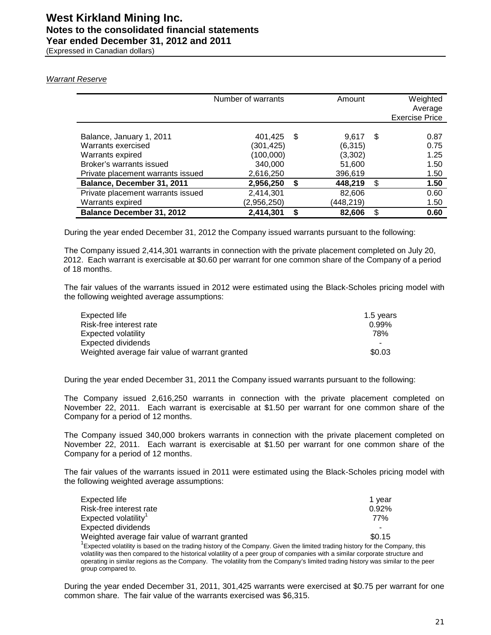#### *Warrant Reserve*

|                                                                                   | Number of warrants                |     | Amount                        | Weighted<br>Average<br><b>Exercise Price</b> |
|-----------------------------------------------------------------------------------|-----------------------------------|-----|-------------------------------|----------------------------------------------|
| Balance, January 1, 2011<br>Warrants exercised                                    | 401,425<br>(301,425)              | -\$ | 9.617<br>(6,315)              | \$<br>0.87<br>0.75                           |
| Warrants expired<br>Broker's warrants issued<br>Private placement warrants issued | (100,000)<br>340,000<br>2,616,250 |     | (3, 302)<br>51,600<br>396,619 | 1.25<br>1.50<br>1.50                         |
| Balance, December 31, 2011                                                        | 2,956,250                         | \$  | 448,219                       | \$<br>1.50                                   |
| Private placement warrants issued                                                 | 2,414,301                         |     | 82,606                        | 0.60                                         |
| Warrants expired                                                                  | (2,956,250)                       |     | (448,219)                     | 1.50                                         |
| <b>Balance December 31, 2012</b>                                                  | 2,414,301                         | \$  | 82.606                        | \$<br>0.60                                   |

During the year ended December 31, 2012 the Company issued warrants pursuant to the following:

The Company issued 2,414,301 warrants in connection with the private placement completed on July 20, 2012. Each warrant is exercisable at \$0.60 per warrant for one common share of the Company of a period of 18 months.

The fair values of the warrants issued in 2012 were estimated using the Black-Scholes pricing model with the following weighted average assumptions:

| Expected life                                  | 1.5 years |
|------------------------------------------------|-----------|
| Risk-free interest rate                        | $0.99\%$  |
| Expected volatility                            | 78%       |
| Expected dividends                             | ۰         |
| Weighted average fair value of warrant granted | \$0.03    |

During the year ended December 31, 2011 the Company issued warrants pursuant to the following:

The Company issued 2,616,250 warrants in connection with the private placement completed on November 22, 2011. Each warrant is exercisable at \$1.50 per warrant for one common share of the Company for a period of 12 months.

The Company issued 340,000 brokers warrants in connection with the private placement completed on November 22, 2011. Each warrant is exercisable at \$1.50 per warrant for one common share of the Company for a period of 12 months.

The fair values of the warrants issued in 2011 were estimated using the Black-Scholes pricing model with the following weighted average assumptions:

| Expected life                                                                                                                  | 1 year |
|--------------------------------------------------------------------------------------------------------------------------------|--------|
| Risk-free interest rate                                                                                                        | 0.92%  |
| Expected volatility <sup>1</sup>                                                                                               | 77%    |
| <b>Expected dividends</b>                                                                                                      |        |
| Weighted average fair value of warrant granted                                                                                 | \$0.15 |
| Expected volatility is based on the trading history of the Company. Given the limited trading history for the Company, this    |        |
| volatility was then compared to the historical volatility of a peer group of companies with a similar corporate structure and  |        |
| operating in similar regions as the Company. The volatility from the Company's limited trading history was similar to the peer |        |
| group compared to.                                                                                                             |        |

During the year ended December 31, 2011, 301,425 warrants were exercised at \$0.75 per warrant for one common share. The fair value of the warrants exercised was \$6,315.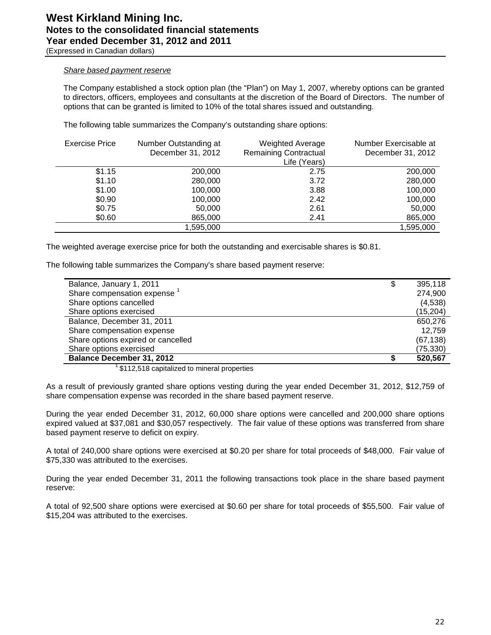#### *Share based payment reserve*

The Company established a stock option plan (the "Plan") on May 1, 2007, whereby options can be granted to directors, officers, employees and consultants at the discretion of the Board of Directors. The number of options that can be granted is limited to 10% of the total shares issued and outstanding.

The following table summarizes the Company's outstanding share options:

| <b>Exercise Price</b> | Number Outstanding at<br>December 31, 2012 | <b>Weighted Average</b><br><b>Remaining Contractual</b><br>Life (Years) | Number Exercisable at<br>December 31, 2012 |
|-----------------------|--------------------------------------------|-------------------------------------------------------------------------|--------------------------------------------|
| \$1.15                | 200,000                                    | 2.75                                                                    | 200,000                                    |
| \$1.10                | 280,000                                    | 3.72                                                                    | 280,000                                    |
| \$1.00                | 100,000                                    | 3.88                                                                    | 100,000                                    |
| \$0.90                | 100,000                                    | 2.42                                                                    | 100,000                                    |
| \$0.75                | 50,000                                     | 2.61                                                                    | 50,000                                     |
| \$0.60                | 865,000                                    | 2.41                                                                    | 865,000                                    |
|                       | 1,595,000                                  |                                                                         | 1,595,000                                  |

The weighted average exercise price for both the outstanding and exercisable shares is \$0.81.

The following table summarizes the Company's share based payment reserve:

| Balance, January 1, 2011           | \$<br>395,118 |
|------------------------------------|---------------|
| Share compensation expense         | 274,900       |
| Share options cancelled            | (4,538)       |
| Share options exercised            | (15, 204)     |
| Balance, December 31, 2011         | 650,276       |
| Share compensation expense         | 12.759        |
| Share options expired or cancelled | (67, 138)     |
| Share options exercised            | (75,330)      |
| <b>Balance December 31, 2012</b>   | 520,567       |
|                                    |               |

<sup>1</sup> \$112,518 capitalized to mineral properties

As a result of previously granted share options vesting during the year ended December 31, 2012, \$12,759 of share compensation expense was recorded in the share based payment reserve.

During the year ended December 31, 2012, 60,000 share options were cancelled and 200,000 share options expired valued at \$37,081 and \$30,057 respectively. The fair value of these options was transferred from share based payment reserve to deficit on expiry.

A total of 240,000 share options were exercised at \$0.20 per share for total proceeds of \$48,000. Fair value of \$75,330 was attributed to the exercises.

During the year ended December 31, 2011 the following transactions took place in the share based payment reserve:

A total of 92,500 share options were exercised at \$0.60 per share for total proceeds of \$55,500. Fair value of \$15,204 was attributed to the exercises.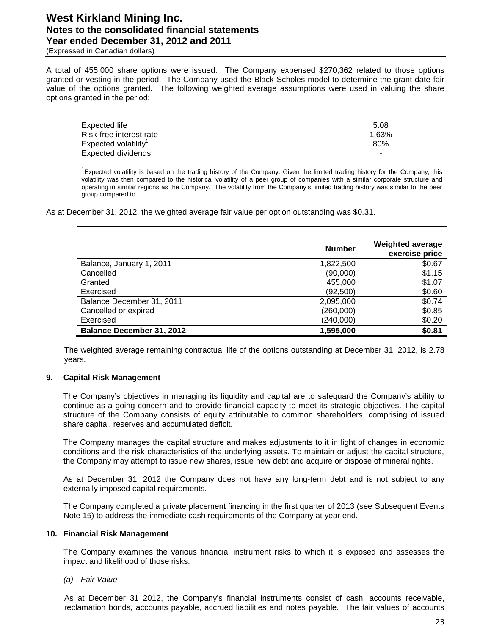# **West Kirkland Mining Inc. Notes to the consolidated financial statements Year ended December 31, 2012 and 2011**

(Expressed in Canadian dollars)

A total of 455,000 share options were issued. The Company expensed \$270,362 related to those options granted or vesting in the period. The Company used the Black-Scholes model to determine the grant date fair value of the options granted. The following weighted average assumptions were used in valuing the share options granted in the period:

| Expected life                    | 5.08  |
|----------------------------------|-------|
| Risk-free interest rate          | 1.63% |
| Expected volatility <sup>1</sup> | 80%   |
| Expected dividends               |       |

<sup>1</sup> Expected volatility is based on the trading history of the Company. Given the limited trading history for the Company, this volatility was then compared to the historical volatility of a peer group of companies with a similar corporate structure and operating in similar regions as the Company. The volatility from the Company's limited trading history was similar to the peer group compared to.

As at December 31, 2012, the weighted average fair value per option outstanding was \$0.31.

|                                  | <b>Number</b> | <b>Weighted average</b><br>exercise price |
|----------------------------------|---------------|-------------------------------------------|
| Balance, January 1, 2011         | 1,822,500     | \$0.67                                    |
| Cancelled                        | (90,000)      | \$1.15                                    |
| Granted                          | 455,000       | \$1.07                                    |
| Exercised                        | (92, 500)     | \$0.60                                    |
| Balance December 31, 2011        | 2,095,000     | \$0.74                                    |
| Cancelled or expired             | (260,000)     | \$0.85                                    |
| Exercised                        | (240,000)     | \$0.20                                    |
| <b>Balance December 31, 2012</b> | 1,595,000     | \$0.81                                    |

The weighted average remaining contractual life of the options outstanding at December 31, 2012, is 2.78 years.

#### **9. Capital Risk Management**

The Company's objectives in managing its liquidity and capital are to safeguard the Company's ability to continue as a going concern and to provide financial capacity to meet its strategic objectives. The capital structure of the Company consists of equity attributable to common shareholders, comprising of issued share capital, reserves and accumulated deficit.

The Company manages the capital structure and makes adjustments to it in light of changes in economic conditions and the risk characteristics of the underlying assets. To maintain or adjust the capital structure, the Company may attempt to issue new shares, issue new debt and acquire or dispose of mineral rights.

As at December 31, 2012 the Company does not have any long-term debt and is not subject to any externally imposed capital requirements.

The Company completed a private placement financing in the first quarter of 2013 (see Subsequent Events Note 15) to address the immediate cash requirements of the Company at year end.

#### **10. Financial Risk Management**

The Company examines the various financial instrument risks to which it is exposed and assesses the impact and likelihood of those risks.

#### *(a) Fair Value*

As at December 31 2012, the Company's financial instruments consist of cash, accounts receivable, reclamation bonds, accounts payable, accrued liabilities and notes payable. The fair values of accounts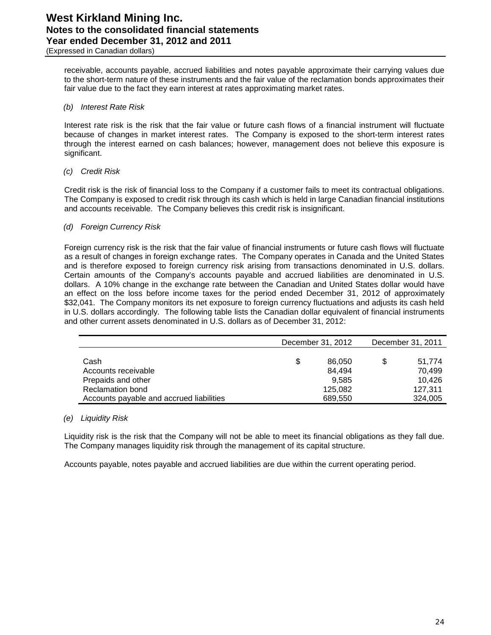receivable, accounts payable, accrued liabilities and notes payable approximate their carrying values due to the short-term nature of these instruments and the fair value of the reclamation bonds approximates their fair value due to the fact they earn interest at rates approximating market rates.

#### *(b) Interest Rate Risk*

Interest rate risk is the risk that the fair value or future cash flows of a financial instrument will fluctuate because of changes in market interest rates. The Company is exposed to the short-term interest rates through the interest earned on cash balances; however, management does not believe this exposure is significant.

#### *(c) Credit Risk*

Credit risk is the risk of financial loss to the Company if a customer fails to meet its contractual obligations. The Company is exposed to credit risk through its cash which is held in large Canadian financial institutions and accounts receivable. The Company believes this credit risk is insignificant.

### *(d) Foreign Currency Risk*

Foreign currency risk is the risk that the fair value of financial instruments or future cash flows will fluctuate as a result of changes in foreign exchange rates. The Company operates in Canada and the United States and is therefore exposed to foreign currency risk arising from transactions denominated in U.S. dollars. Certain amounts of the Company's accounts payable and accrued liabilities are denominated in U.S. dollars. A 10% change in the exchange rate between the Canadian and United States dollar would have an effect on the loss before income taxes for the period ended December 31, 2012 of approximately \$32,041. The Company monitors its net exposure to foreign currency fluctuations and adjusts its cash held in U.S. dollars accordingly. The following table lists the Canadian dollar equivalent of financial instruments and other current assets denominated in U.S. dollars as of December 31, 2012:

|                                          | December 31, 2012 | December 31, 2011 |         |  |
|------------------------------------------|-------------------|-------------------|---------|--|
|                                          |                   |                   |         |  |
| Cash                                     | \$<br>86.050      | \$.               | 51.774  |  |
| Accounts receivable                      | 84.494            |                   | 70.499  |  |
| Prepaids and other                       | 9.585             |                   | 10.426  |  |
| <b>Reclamation bond</b>                  | 125,082           |                   | 127.311 |  |
| Accounts payable and accrued liabilities | 689.550           |                   | 324.005 |  |

#### *(e) Liquidity Risk*

Liquidity risk is the risk that the Company will not be able to meet its financial obligations as they fall due. The Company manages liquidity risk through the management of its capital structure.

Accounts payable, notes payable and accrued liabilities are due within the current operating period.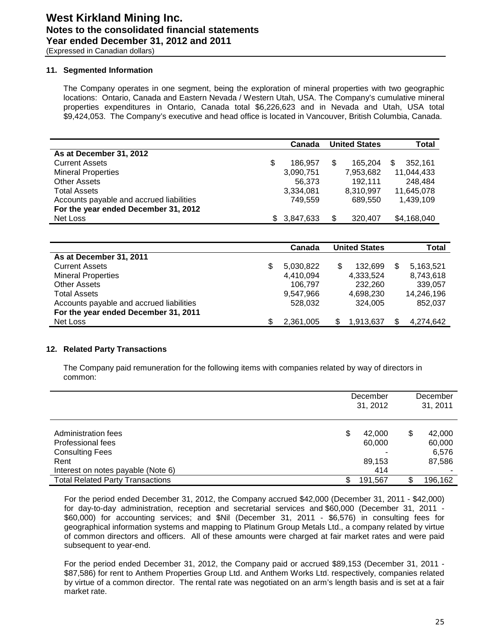## **11. Segmented Information**

The Company operates in one segment, being the exploration of mineral properties with two geographic locations: Ontario, Canada and Eastern Nevada / Western Utah, USA. The Company's cumulative mineral properties expenditures in Ontario, Canada total \$6,226,623 and in Nevada and Utah, USA total \$9,424,053. The Company's executive and head office is located in Vancouver, British Columbia, Canada.

|                                          | Canada        |    | <b>United States</b> | Total       |
|------------------------------------------|---------------|----|----------------------|-------------|
| As at December 31, 2012                  |               |    |                      |             |
| <b>Current Assets</b>                    | \$<br>186.957 | S  | 165.204              | 352.161     |
| <b>Mineral Properties</b>                | 3,090,751     |    | 7,953,682            | 11.044.433  |
| <b>Other Assets</b>                      | 56.373        |    | 192.111              | 248,484     |
| <b>Total Assets</b>                      | 3.334.081     |    | 8.310.997            | 11,645,078  |
| Accounts payable and accrued liabilities | 749.559       |    | 689.550              | 1,439,109   |
| For the year ended December 31, 2012     |               |    |                      |             |
| Net Loss                                 | \$3,847,633   | \$ | 320,407              | \$4,168,040 |

|                                          |     | Canada    |     | <b>United States</b> |   | Total      |
|------------------------------------------|-----|-----------|-----|----------------------|---|------------|
| As at December 31, 2011                  |     |           |     |                      |   |            |
| <b>Current Assets</b>                    | S   | 5.030.822 | \$. | 132.699              | S | 5.163.521  |
| <b>Mineral Properties</b>                |     | 4,410,094 |     | 4,333,524            |   | 8,743,618  |
| <b>Other Assets</b>                      |     | 106.797   |     | 232,260              |   | 339.057    |
| <b>Total Assets</b>                      |     | 9.547.966 |     | 4.698.230            |   | 14,246,196 |
| Accounts payable and accrued liabilities |     | 528.032   |     | 324.005              |   | 852.037    |
| For the year ended December 31, 2011     |     |           |     |                      |   |            |
| Net Loss                                 | \$. | 2.361.005 |     | 1.913.637            |   | 4.274.642  |

#### **12. Related Party Transactions**

The Company paid remuneration for the following items with companies related by way of directors in common:

|                                                                                                                  |    | December<br>31, 2012              |    | December<br>31, 2011                |
|------------------------------------------------------------------------------------------------------------------|----|-----------------------------------|----|-------------------------------------|
| Administration fees<br>Professional fees<br><b>Consulting Fees</b><br>Rent<br>Interest on notes payable (Note 6) | \$ | 42,000<br>60,000<br>89,153<br>414 | \$ | 42,000<br>60,000<br>6,576<br>87,586 |
| <b>Total Related Party Transactions</b>                                                                          | S. | 191,567                           | S  | 196,162                             |

For the period ended December 31, 2012, the Company accrued \$42,000 (December 31, 2011 - \$42,000) for day-to-day administration, reception and secretarial services and \$60,000 (December 31, 2011 - \$60,000) for accounting services; and \$Nil (December 31, 2011 - \$6,576) in consulting fees for geographical information systems and mapping to Platinum Group Metals Ltd., a company related by virtue of common directors and officers. All of these amounts were charged at fair market rates and were paid subsequent to year-end.

For the period ended December 31, 2012, the Company paid or accrued \$89,153 (December 31, 2011 - \$87,586) for rent to Anthem Properties Group Ltd. and Anthem Works Ltd. respectively, companies related by virtue of a common director. The rental rate was negotiated on an arm's length basis and is set at a fair market rate.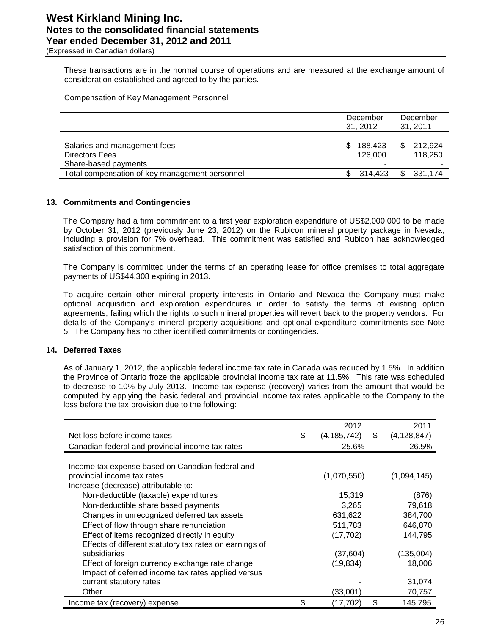These transactions are in the normal course of operations and are measured at the exchange amount of consideration established and agreed to by the parties.

#### Compensation of Key Management Personnel

|                                                                        | December<br>31, 2012 |                         | December<br>31, 2011 |                    |
|------------------------------------------------------------------------|----------------------|-------------------------|----------------------|--------------------|
| Salaries and management fees<br>Directors Fees<br>Share-based payments | S                    | 188,423<br>126,000<br>- |                      | 212.924<br>118.250 |
| Total compensation of key management personnel                         |                      | 314.423                 |                      | 331,174            |

#### **13. Commitments and Contingencies**

The Company had a firm commitment to a first year exploration expenditure of US\$2,000,000 to be made by October 31, 2012 (previously June 23, 2012) on the Rubicon mineral property package in Nevada, including a provision for 7% overhead. This commitment was satisfied and Rubicon has acknowledged satisfaction of this commitment.

The Company is committed under the terms of an operating lease for office premises to total aggregate payments of US\$44,308 expiring in 2013.

To acquire certain other mineral property interests in Ontario and Nevada the Company must make optional acquisition and exploration expenditures in order to satisfy the terms of existing option agreements, failing which the rights to such mineral properties will revert back to the property vendors. For details of the Company's mineral property acquisitions and optional expenditure commitments see Note 5. The Company has no other identified commitments or contingencies.

#### **14. Deferred Taxes**

As of January 1, 2012, the applicable federal income tax rate in Canada was reduced by 1.5%. In addition the Province of Ontario froze the applicable provincial income tax rate at 11.5%. This rate was scheduled to decrease to 10% by July 2013. Income tax expense (recovery) varies from the amount that would be computed by applying the basic federal and provincial income tax rates applicable to the Company to the loss before the tax provision due to the following:

|                                                         | 2012              | 2011                |
|---------------------------------------------------------|-------------------|---------------------|
| Net loss before income taxes                            | \$<br>(4,185,742) | \$<br>(4, 128, 847) |
| Canadian federal and provincial income tax rates        | 25.6%             | 26.5%               |
|                                                         |                   |                     |
| Income tax expense based on Canadian federal and        |                   |                     |
| provincial income tax rates                             | (1,070,550)       | (1,094,145)         |
| Increase (decrease) attributable to:                    |                   |                     |
| Non-deductible (taxable) expenditures                   | 15,319            | (876)               |
| Non-deductible share based payments                     | 3,265             | 79,618              |
| Changes in unrecognized deferred tax assets             | 631,622           | 384,700             |
| Effect of flow through share renunciation               | 511,783           | 646,870             |
| Effect of items recognized directly in equity           | (17, 702)         | 144,795             |
| Effects of different statutory tax rates on earnings of |                   |                     |
| subsidiaries                                            | (37, 604)         | (135,004)           |
| Effect of foreign currency exchange rate change         | (19, 834)         | 18,006              |
| Impact of deferred income tax rates applied versus      |                   |                     |
| current statutory rates                                 |                   | 31,074              |
| Other                                                   | (33,001)          | 70,757              |
| Income tax (recovery) expense                           | \$<br>(17, 702)   | \$<br>145,795       |